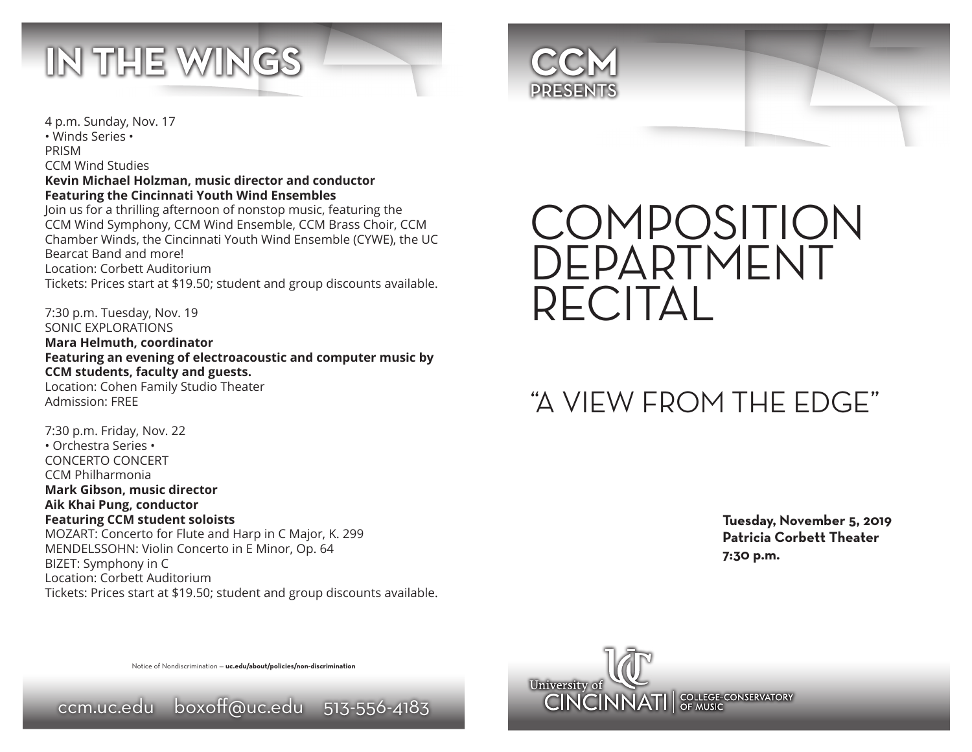



4 p.m. Sunday, Nov. 17

• Winds Series • PRISM

CCM Wind Studies

# **Kevin Michael Holzman, music director and conductor Featuring the Cincinnati Youth Wind Ensembles**

Join us for a thrilling afternoon of nonstop music, featuring the CCM Wind Symphony, CCM Wind Ensemble, CCM Brass Choir, CCM Chamber Winds, the Cincinnati Youth Wind Ensemble (CYWE), the UC Bearcat Band and more! Location: Corbett Auditorium Tickets: Prices start at \$19.50; student and group discounts available.

7:30 p.m. Tuesday, Nov. 19 SONIC EXPLORATIONS **Mara Helmuth, coordinator Featuring an evening of electroacoustic and computer music by CCM students, faculty and guests.** Location: Cohen Family Studio Theater

Admission: FREE

7:30 p.m. Friday, Nov. 22 • Orchestra Series • CONCERTO CONCERT CCM Philharmonia **Mark Gibson, music director Aik Khai Pung, conductor Featuring CCM student soloists** MOZART: Concerto for Flute and Harp in C Major, K. 299 MENDELSSOHN: Violin Concerto in E Minor, Op. 64 BIZET: Symphony in C Location: Corbett Auditorium Tickets: Prices start at \$19.50; student and group discounts available.



# "A VIEW FROM THE EDGE"

**Tuesday, November 5, 2019 Patricia Corbett Theater 7:30 p.m.**



Notice of Nondiscrimination — **uc.edu/about/policies/non-discrimination**